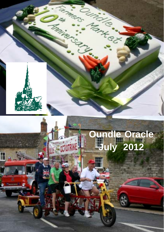

H

# **Oundle Oracle July 2012**

Country C.

7

Amtex

Q.

**TRAINER COLL**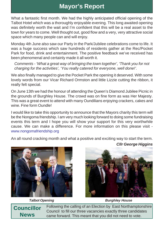### **Mayor's Report**

What a fantastic first month. We had the highly anticipated official opening of the Talbot Hotel which was a thoroughly enjoyable evening. This long awaited opening was definitely worth the wait and I'm confident that this will be a real asset to the town for years to come. Well thought out, good flow and a very, very attractive social space which many people can and will enjoy.

Monday 4th June also saw our Party in the Park/Jubilee celebrations come to life. It was a huge success which saw hundreds of residents gather at the Rec/Pocket Park for food, drink and entertainment. The positive feedback we've received has been phenomenal and certainly made it all worth it.

*Comments - 'What a great way of bringing the town together', 'Thank you for not charging for the activities', 'You really catered for everyone, well done!'.*

We also finally managed to give the Pocket Park the opening it deserved. With some lovely words from our Vicar Richard Ormston and little Lizzie cutting the ribbon, it really felt special.

On June 13th we had the honour of attending the Queen's Diamond Jubilee Picnic in the grounds of Burghley House. The crowd was on fine form as was Her Majesty. This was a great event to attend with many Oundilians enjoying crackers, cakes and wine. Fine form Oundle!

I would like to take this opportunity to announce that the Mayors charity this term will be the Nongoma friendship. I am very much looking forward to doing some fundraising events this term and I hope you will show your support for this very worthwhile cause. We can make a difference. For more information on this please visit www.nongomafriendship.org

An all round cracking month and what a positive and exciting way to start the term. *Cllr George Higgins*





*Talbot Opening Burghley House*

**Councillor News**

Following the calling of an Election by East Northamptonshire Council to fill our three vacancies exactly three candidates came forward. This meant that you did not need to vote.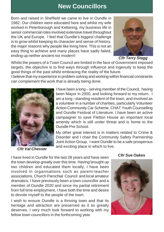#### **New Councillors**

Born and raised in Sheffield we came to live in Oundle in 1982. Our children were educated here and whilst my wife worked in Peterborough and Kettering, my business life in senior commercial roles involved extensive travel throughout the UK and Europe. I feel that Oundle's biggest challenge is to grow whilst keeping its character and sense of history, the major reasons why people like living here. This is not an easy thing to achieve and many places have sadly failed, ending up neither ancient nor modern!



*Cllr Terry Stagg*

Whilst the powers of a Town Council are limited in the face of Government imposed targets, the objective is to find ways through influence and ingenuity to keep the good things of the past whilst embracing the reality of the future.

I believe that my experience in problem solving and working within financial constraints can complement the work that is already being done.



*Cllr Val Chesser*

I have been a long – serving member of the Council, having been Mayor in 2000, and looking forward to my return. I am a long –standing resident of the town, and involved as a volunteer in a number of charities, particularly Volunteer Action Community Car Scheme, CHAT Youth Counselling and Oundle Festival of Literature. I have been an active campaigner to save Fletton House an important local amenity which is still under threat and is home to the Oundle Pre School.

My other great interest is in matters related to Crime & Disorder and I chair the Community Safety Partnership Joint Action Group. I want Oundle to be a safe prosperous and exciting place in which to live.

I have lived in Oundle for the last 28 years and have seen the town develop greatly over this time. Having brought up two children and educated them locally, I have been involved in organisations such as parent-teacher associations, Church Parochial Council and local amateur dramatics. I have previously been a town councillor and a member of Oundle 2020 and since my partial retirement from full time employment, I have both the time and desire to devote myself to the people of the town.

I wish to ensure Oundle is a thriving town and that its heritage and attraction are preserved as it so greatly deserves. I very much look forward to working with my fellow town councillors in the forthcoming year.

#### *Cllr Sue Oakes*

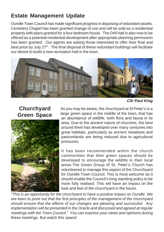#### **Estate Management Update**

Oundle Town Council has made significant progress in disposing of redundant assets. Cemetery Chapel has been granted change of use and will be sold as a residential property with plans granted for a four bedroom house. The Drill Hall is also now to be offered as a potential residential development after appropriate planning permission has been granted. Our agents are asking those interested to offer their final and best price by July 27<sup>th</sup>. The final disposal of these redundant buildings will facilitate our desire to build a new recreation hall in the town.



*Cllr Paul King*

#### **Churchyard Green Space**



As you may be aware, the churchyard at St Peter's is a large green space in the middle of the town, that has an abundance of wildlife, both flora and fauna in its area. Due to the ancient nature of churches, the land around them has developed over many centuries into great habitats, particularly as ancient meadows and pasturelands are being reduced due to agricultural pressures.

It has been recommended within the church communities that their green spaces should be developed to encourage the wildlife in their local areas.The Green Group of St. Peter's Church has volunteered to manage this aspect of the Churchyard for Oundle Town Council. This is most welcome as it should enable the Council's long standing policy to be more fully realised. This will have an impact on the look and feel of the churchyard in the future.

*"This is an opportunity for the churchyard to have a positive impact on Oundle. We are keen to point out that the first principles of the management of the churchyard should ensure that the effects of our changes are pleasing and successful. Any implementation will be presented in the Oracle and discussed and agreed at regular meetings with the Town Council."* You can express your views and opinions during these meetings. But watch this space!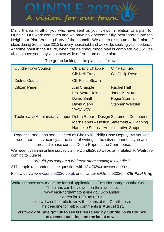

Many thanks to all of you who have sent us your views in relation to a plan for Oundle. Our work continues and we have now become fully incorporated into the Neighbour Plan Working Party of the council. We aim to distribute a draft plan of ideas during September 2012 to every household and we will be seeking your feedback. At some point in the future, when the neighbourhood plan is complete, you will be able to have your say via a town wide referendum on the plan.

| <b>Oundle Town Council</b>                                                | <b>CIIr David Chapple</b><br><b>Cllr Neil Fraser</b>                                         | <b>Cllr Paul King</b><br><b>Cllr Philip Rose</b>                                             |
|---------------------------------------------------------------------------|----------------------------------------------------------------------------------------------|----------------------------------------------------------------------------------------------|
| <b>District Council</b>                                                   | <b>Cllr Philip Stearn</b>                                                                    |                                                                                              |
| Citizen Panel                                                             | <b>Ann Chapple</b><br><b>Lisa Ward Holmes</b><br>David Smith<br>David Webb<br><b>VACANCY</b> | <b>Rachel Hatt</b><br><b>Janet McMurdo</b><br><b>Roger Sturman</b><br><b>Stephen Webster</b> |
| Technical & Administrative Input Debra Raper - Design Statement Component | Hanneke Soans - Administrative Support                                                       | Mark Benns - Design Statement & Planning                                                     |

The group looking at the plan is as follows:

Roger Sturman has been elected as Chair with Philip Rose Deputy. As you can see, there is a vacancy at the time of writing in the citizen panel. If you are interested please contact Debra Raper at the Courthouse.

We recently ran an online survey via the Oundle2020 website in relation to Waitrose coming to Oundle.

*"Would you support a Waitrose store coming to Oundle?"*

217 people responded to the question with 134 (62%) answering Yes.

Follow us via www.oundle2020.co.uk or on twitter @Oundle2020 *Cllr Paul King*

**Visit www.oundle.gov.uk to see issues raised by Oundle Town Council at a recent meeting and the latest news.** Waitrose have now made the formal application to East Northamptonshire Council. The plans can be viewed on their website. www.east-northamptonshire.gov.uk/planning Search for **12/01051/FUL**. You will also be able to view the plans at the Courthouse. The deadline for public comments is **August 1st.**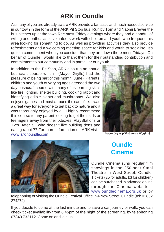# **ARK in Oundle**

As many of you are already aware ARK provide a fantastic and much needed service in our town in the form of the ARK Pit Stop bus. Run by Tom and Naomi Brewer the bus pitches up at the town Rec most Friday evenings where they and a handful of willing and enthusiastic volunteers work with children and youth who frequent this area looking for something to do. As well as providing activities they also provide refreshments and a welcoming meeting space for kids and youth to socialise. It's quite a commitment when you consider that they are down there most Fridays. On behalf of Oundle I would like to thank them for their outstanding contribution and commitment to our community and in particular our youth.

In addition to the Pit Stop, ARK also run an annual bushcraft course which I (Mayor Grylls) had the pleasure of being part of this month (June). Parents, children and youth of varying ages attended the two day bushcraft course with many of us learning skills like fire lighting, shelter building, cooking rabbit and identifying edible plants and mushrooms. We also enjoyed games and music around the campfire. It was a great way for everyone to get back to nature and it was thoroughly enjoyed by all. I highly recommend this course to any parent looking to get their kids or teenagers away from their Xboxes, PlayStations or TV's. After all, who doesn't like building dens and eating rabbit?? For more information on ARK visit www.arkinoundle.com



*Mayor Grylls (Cllr George Higgins)*



### **Oundle Cinema**

Oundle Cinema runs regular film showings in the 250-seat Stahl Theatre in West Street, Oundle. Tickets (£5 for adults, £3 for children) can be purchased in advance online through the Cinema website – www.oundlecinema.org.uk or by

telephoning or visiting the Oundle Festival Office in 4 New Street, Oundle (tel: 01832 274274).

If you decide to come at the last minute and to save a car journey or walk, you can check ticket availability from 6.45pm of the night of the screening, by telephoning 07840 732112. Come on and join us!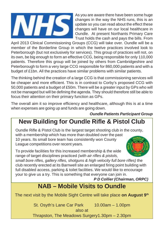

As you are aware there have been some huge changes in the way the NHS runs, this is an update so you can read about the effect these changes will have on our local healthcare in Oundle. At present Northants Primary Care Trust holds the cash and pays the bills. From

April 2013 Clinical Commissioning Groups (CCG) will take over. Oundle will be a member of the Borderline Group in which the twelve practices involved look to Peterborough (but not exclusively for services). This group of practices will not, on its own, be big enough to form an effective CCG, being responsible for only 110,000 patients. Therefore this group will be joined by others from Cambridgeshire and Peterborough to form a very large CCG responsible for 860,000 patients and with a budget of £1bn. All the practices have similar problems with similar patients.

The thinking behind the creation of a large CCG is that commissioning services will be cheaper and more efficient. This is in contrast to Corby's proposed CCG with 50,000 patients and a budget of £50m. There will be a greater input by GPs who will not be managed but will be defining the agenda. They should therefore still be able to focus their attention on their primary function as GPs.

The overall aim it so improve efficiency and healthcare, although this is at a time when expenses are going up and funds are going down.

*Oundle Patients Participant Group*

# **New Building for Oundle Rifle & Pistol Club**

Oundle Rifle & Pistol Club is the largest target shooting club in the county, with a membership which has more than doubled over the past 10 years. Its small bore team has consistently won County League competitions over recent years.

To provide facilities for this increased membership & the wide range of target disciplines practiced *(with air rifles & pistols,*

*small bore rifles, gallery rifles, shotguns & high velocity full bore rifles)* the club recently erected at its Barnwell site an enlarged firing point building with full disabled access, parking & toilet facilities. We would like to encourage your to give us a try. This is something that everyone can join in.

*P D Collier (Chairman, ORPC)*

## **NAB – Mobile Visits to Oundle**

The next visit by the Mobile Sight Centre will take place **on August 9th**

St. Osyth's Lane Car Park 10.00am – 1.00pm

also at

Thrapston, The Meadows Surgery1.30pm – 2.30pm